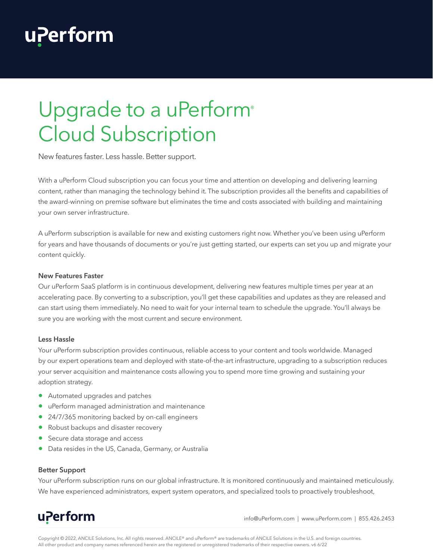## **uPerform**

# Upgrade to a uPerform<sup>®</sup> Cloud Subscription

New features faster. Less hassle. Better support.

With a uPerform Cloud subscription you can focus your time and attention on developing and delivering learning content, rather than managing the technology behind it. The subscription provides all the benefits and capabilities of the award-winning on premise software but eliminates the time and costs associated with building and maintaining your own server infrastructure.

A uPerform subscription is available for new and existing customers right now. Whether you've been using uPerform for years and have thousands of documents or you're just getting started, our experts can set you up and migrate your content quickly.

#### **New Features Faster**

Our uPerform SaaS platform is in continuous development, delivering new features multiple times per year at an accelerating pace. By converting to a subscription, you'll get these capabilities and updates as they are released and can start using them immediately. No need to wait for your internal team to schedule the upgrade. You'll always be sure you are working with the most current and secure environment.

#### **Less Hassle**

Your uPerform subscription provides continuous, reliable access to your content and tools worldwide. Managed by our expert operations team and deployed with state-of-the-art infrastructure, upgrading to a subscription reduces your server acquisition and maintenance costs allowing you to spend more time growing and sustaining your adoption strategy.

- Automated upgrades and patches
- uPerform managed administration and maintenance
- 24/7/365 monitoring backed by on-call engineers
- Robust backups and disaster recovery
- Secure data storage and access
- Data resides in the US, Canada, Germany, or Australia

#### **Better Support**

Your uPerform subscription runs on our global infrastructure. It is monitored continuously and maintained meticulously. We have experienced administrators, expert system operators, and specialized tools to proactively troubleshoot,

### uPerform

info@uPerform.com | www.uPerform.com | 855.426.2453